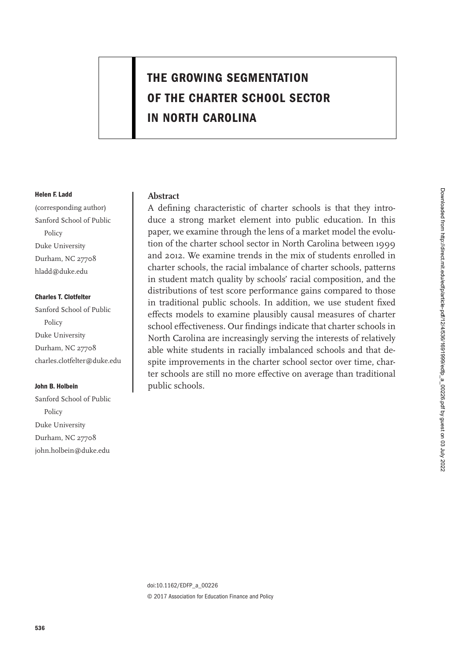# **THE GROWING SEGMENTATION OF THE CHARTER SCHOOL SECTOR IN NORTH CAROLINA**

#### **Helen F. Ladd**

(corresponding author) Sanford School of Public Policy Duke University Durham, NC 27708 hladd@duke.edu

#### **Charles T. Clotfelter**

Sanford School of Public Policy Duke University Durham, NC 27708 charles.clotfelter@duke.edu

## **John B. Holbein**

Sanford School of Public Policy Duke University Durham, NC 27708 john.holbein@duke.edu

# **Abstract**

A defining characteristic of charter schools is that they introduce a strong market element into public education. In this paper, we examine through the lens of a market model the evolution of the charter school sector in North Carolina between 1999 and 2012. We examine trends in the mix of students enrolled in charter schools, the racial imbalance of charter schools, patterns in student match quality by schools' racial composition, and the distributions of test score performance gains compared to those in traditional public schools. In addition, we use student fixed effects models to examine plausibly causal measures of charter school effectiveness. Our findings indicate that charter schools in North Carolina are increasingly serving the interests of relatively able white students in racially imbalanced schools and that despite improvements in the charter school sector over time, charter schools are still no more effective on average than traditional public schools.

doi:10.1162/EDFP\_a\_00226 © 2017 Association for Education Finance and Policy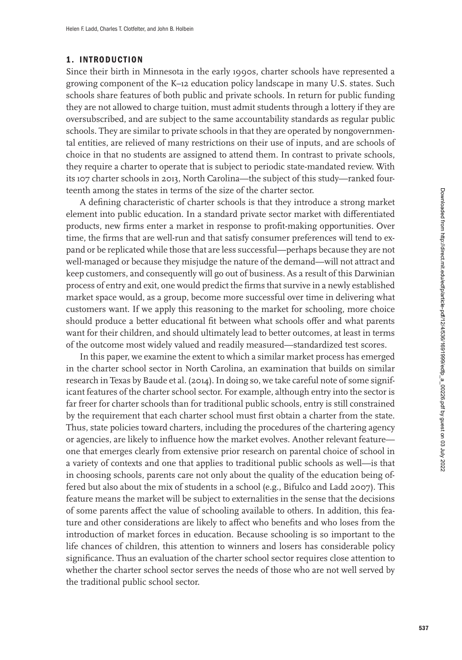# **1. INTRODUCTION**

Since their birth in Minnesota in the early 1990s, charter schools have represented a growing component of the K–12 education policy landscape in many U.S. states. Such schools share features of both public and private schools. In return for public funding they are not allowed to charge tuition, must admit students through a lottery if they are oversubscribed, and are subject to the same accountability standards as regular public schools. They are similar to private schools in that they are operated by nongovernmental entities, are relieved of many restrictions on their use of inputs, and are schools of choice in that no students are assigned to attend them. In contrast to private schools, they require a charter to operate that is subject to periodic state-mandated review. With its 107 charter schools in 2013, North Carolina—the subject of this study—ranked fourteenth among the states in terms of the size of the charter sector.

A defining characteristic of charter schools is that they introduce a strong market element into public education. In a standard private sector market with differentiated products, new firms enter a market in response to profit-making opportunities. Over time, the firms that are well-run and that satisfy consumer preferences will tend to expand or be replicated while those that are less successful—perhaps because they are not well-managed or because they misjudge the nature of the demand—will not attract and keep customers, and consequently will go out of business. As a result of this Darwinian process of entry and exit, one would predict the firms that survive in a newly established market space would, as a group, become more successful over time in delivering what customers want. If we apply this reasoning to the market for schooling, more choice should produce a better educational fit between what schools offer and what parents want for their children, and should ultimately lead to better outcomes, at least in terms of the outcome most widely valued and readily measured—standardized test scores.

In this paper, we examine the extent to which a similar market process has emerged in the charter school sector in North Carolina, an examination that builds on similar research in Texas by Baude et al. [\(2014\)](#page-25-0). In doing so, we take careful note of some significant features of the charter school sector. For example, although entry into the sector is far freer for charter schools than for traditional public schools, entry is still constrained by the requirement that each charter school must first obtain a charter from the state. Thus, state policies toward charters, including the procedures of the chartering agency or agencies, are likely to influence how the market evolves. Another relevant feature one that emerges clearly from extensive prior research on parental choice of school in a variety of contexts and one that applies to traditional public schools as well—is that in choosing schools, parents care not only about the quality of the education being offered but also about the mix of students in a school (e.g., Bifulco and Ladd [2007\)](#page-25-0). This feature means the market will be subject to externalities in the sense that the decisions of some parents affect the value of schooling available to others. In addition, this feature and other considerations are likely to affect who benefits and who loses from the introduction of market forces in education. Because schooling is so important to the life chances of children, this attention to winners and losers has considerable policy significance. Thus an evaluation of the charter school sector requires close attention to whether the charter school sector serves the needs of those who are not well served by the traditional public school sector.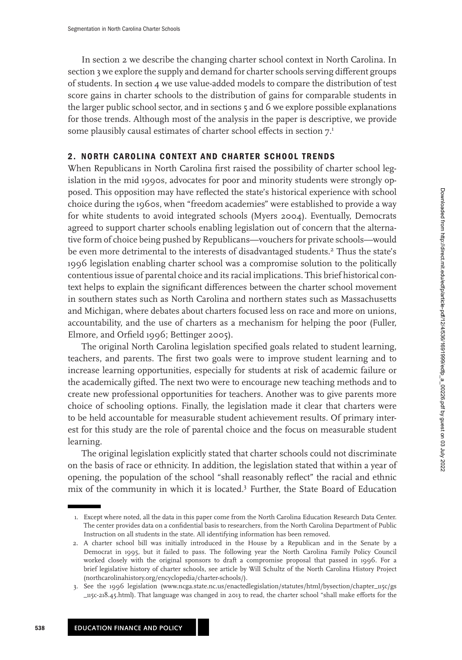In section 2 we describe the changing charter school context in North Carolina. In section [3](#page-8-0) we explore the supply and demand for charter schools serving different groups of students. In section [4](#page-12-0) we use value-added models to compare the distribution of test score gains in charter schools to the distribution of gains for comparable students in the larger public school sector, and in sections [5](#page-16-0) and [6](#page-18-0) we explore possible explanations for those trends. Although most of the analysis in the paper is descriptive, we provide some plausibly causal estimates of charter school effects in section  $7<sup>1</sup>$ 

# **2. NORTH CAROLINA CONTEXT AND CHARTER SCHOOL TRENDS**

When Republicans in North Carolina first raised the possibility of charter school legislation in the mid 1990s, advocates for poor and minority students were strongly opposed. This opposition may have reflected the state's historical experience with school choice during the 1960s, when "freedom academies" were established to provide a way for white students to avoid integrated schools (Myers [2004\)](#page-26-0). Eventually, Democrats agreed to support charter schools enabling legislation out of concern that the alternative form of choice being pushed by Republicans—vouchers for private schools—would be even more detrimental to the interests of disadvantaged students.<sup>2</sup> Thus the state's 1996 legislation enabling charter school was a compromise solution to the politically contentious issue of parental choice and its racial implications. This brief historical context helps to explain the significant differences between the charter school movement in southern states such as North Carolina and northern states such as Massachusetts and Michigan, where debates about charters focused less on race and more on unions, accountability, and the use of charters as a mechanism for helping the poor (Fuller, Elmore, and Orfield [1996;](#page-26-0) Bettinger [2005\)](#page-25-0).

The original North Carolina legislation specified goals related to student learning, teachers, and parents. The first two goals were to improve student learning and to increase learning opportunities, especially for students at risk of academic failure or the academically gifted. The next two were to encourage new teaching methods and to create new professional opportunities for teachers. Another was to give parents more choice of schooling options. Finally, the legislation made it clear that charters were to be held accountable for measurable student achievement results. Of primary interest for this study are the role of parental choice and the focus on measurable student learning.

The original legislation explicitly stated that charter schools could not discriminate on the basis of race or ethnicity. In addition, the legislation stated that within a year of opening, the population of the school "shall reasonably reflect" the racial and ethnic mix of the community in which it is located.3 Further, the State Board of Education

<sup>1.</sup> Except where noted, all the data in this paper come from the North Carolina Education Research Data Center. The center provides data on a confidential basis to researchers, from the North Carolina Department of Public Instruction on all students in the state. All identifying information has been removed.

<sup>2.</sup> A charter school bill was initially introduced in the House by a Republican and in the Senate by a Democrat in 1995, but it failed to pass. The following year the North Carolina Family Policy Council worked closely with the original sponsors to draft a compromise proposal that passed in 1996. For a brief legislative history of charter schools, see article by Will Schultz of the North Carolina History Project (northcarolinahistory.org/encyclopedia/charter-schools/).

<sup>3.</sup> See the 1996 legislation (www.ncga.state.nc.us/enactedlegislation/statutes/html/bysection/chapter\_115c/gs \_115c-218.45.html). That language was changed in 2013 to read, the charter school "shall make efforts for the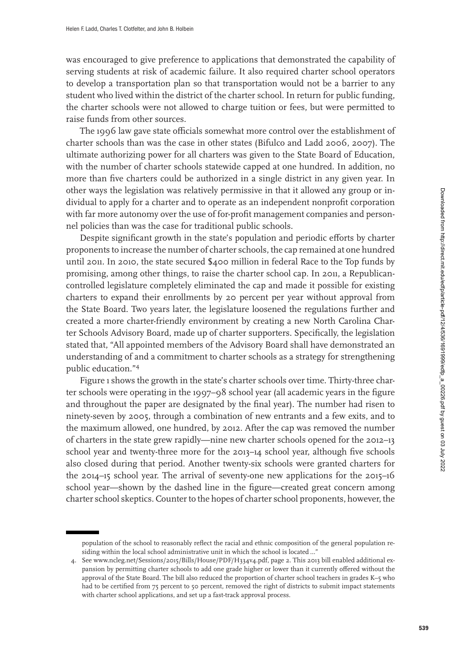was encouraged to give preference to applications that demonstrated the capability of serving students at risk of academic failure. It also required charter school operators to develop a transportation plan so that transportation would not be a barrier to any student who lived within the district of the charter school. In return for public funding, the charter schools were not allowed to charge tuition or fees, but were permitted to raise funds from other sources.

The 1996 law gave state officials somewhat more control over the establishment of charter schools than was the case in other states (Bifulco and Ladd [2006,](#page-25-0) 2007). The ultimate authorizing power for all charters was given to the State Board of Education, with the number of charter schools statewide capped at one hundred. In addition, no more than five charters could be authorized in a single district in any given year. In other ways the legislation was relatively permissive in that it allowed any group or individual to apply for a charter and to operate as an independent nonprofit corporation with far more autonomy over the use of for-profit management companies and personnel policies than was the case for traditional public schools.

Despite significant growth in the state's population and periodic efforts by charter proponents to increase the number of charter schools, the cap remained at one hundred until 2011. In 2010, the state secured \$400 million in federal Race to the Top funds by promising, among other things, to raise the charter school cap. In 2011, a Republicancontrolled legislature completely eliminated the cap and made it possible for existing charters to expand their enrollments by 20 percent per year without approval from the State Board. Two years later, the legislature loosened the regulations further and created a more charter-friendly environment by creating a new North Carolina Charter Schools Advisory Board, made up of charter supporters. Specifically, the legislation stated that, "All appointed members of the Advisory Board shall have demonstrated an understanding of and a commitment to charter schools as a strategy for strengthening public education."<sup>4</sup>

Figure [1](#page-4-0) shows the growth in the state's charter schools over time. Thirty-three charter schools were operating in the 1997–98 school year (all academic years in the figure and throughout the paper are designated by the final year). The number had risen to ninety-seven by 2005, through a combination of new entrants and a few exits, and to the maximum allowed, one hundred, by 2012. After the cap was removed the number of charters in the state grew rapidly—nine new charter schools opened for the 2012–13 school year and twenty-three more for the 2013–14 school year, although five schools also closed during that period. Another twenty-six schools were granted charters for the 2014–15 school year. The arrival of seventy-one new applications for the 2015–16 school year—shown by the dashed line in the figure—created great concern among charter school skeptics. Counter to the hopes of charter school proponents, however, the

population of the school to reasonably reflect the racial and ethnic composition of the general population residing within the local school administrative unit in which the school is located …"

<sup>4.</sup> See www.ncleg.net/Sessions/2015/Bills/House/PDF/H334v4.pdf, page 2. This 2013 bill enabled additional expansion by permitting charter schools to add one grade higher or lower than it currently offered without the approval of the State Board. The bill also reduced the proportion of charter school teachers in grades K–5 who had to be certified from 75 percent to 50 percent, removed the right of districts to submit impact statements with charter school applications, and set up a fast-track approval process.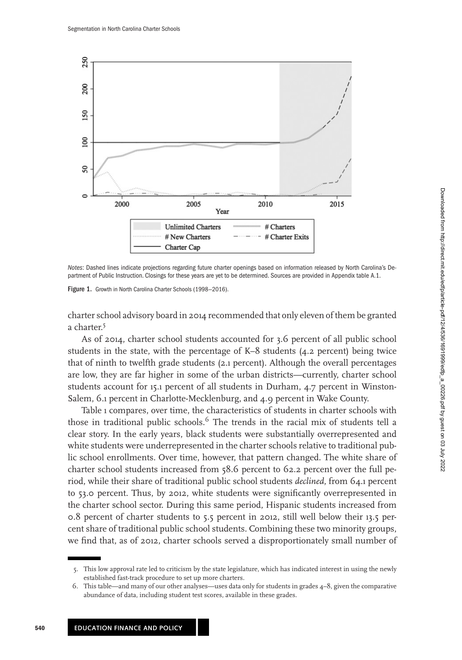<span id="page-4-0"></span>

Notes: Dashed lines indicate projections regarding future charter openings based on information released by North Carolina's Department of Public Instruction. Closings for these years are yet to be determined. Sources are provided in Appendix [table A.1.](#page-27-0)

Figure 1. Growth in North Carolina Charter Schools (1998-2016).

charter school advisory board in 2014 recommended that only eleven of them be granted a charter.<sup>5</sup>

As of 2014, charter school students accounted for 3.6 percent of all public school students in the state, with the percentage of K–8 students (4.2 percent) being twice that of ninth to twelfth grade students (2.1 percent). Although the overall percentages are low, they are far higher in some of the urban districts—currently, charter school students account for 15.1 percent of all students in Durham, 4.7 percent in Winston-Salem, 6.1 percent in Charlotte-Mecklenburg, and 4.9 percent in Wake County.

Table [1](#page-5-0) compares, over time, the characteristics of students in charter schools with those in traditional public schools.<sup>6</sup> The trends in the racial mix of students tell a clear story. In the early years, black students were substantially overrepresented and white students were underrepresented in the charter schools relative to traditional public school enrollments. Over time, however, that pattern changed. The white share of charter school students increased from 58.6 percent to 62.2 percent over the full period, while their share of traditional public school students *declined*, from 64.1 percent to 53.0 percent. Thus, by 2012, white students were significantly overrepresented in the charter school sector. During this same period, Hispanic students increased from 0.8 percent of charter students to 5.5 percent in 2012, still well below their 13.5 percent share of traditional public school students. Combining these two minority groups, we find that, as of 2012, charter schools served a disproportionately small number of

<sup>5.</sup> This low approval rate led to criticism by the state legislature, which has indicated interest in using the newly established fast-track procedure to set up more charters.

<sup>6.</sup> This table—and many of our other analyses—uses data only for students in grades 4–8, given the comparative abundance of data, including student test scores, available in these grades.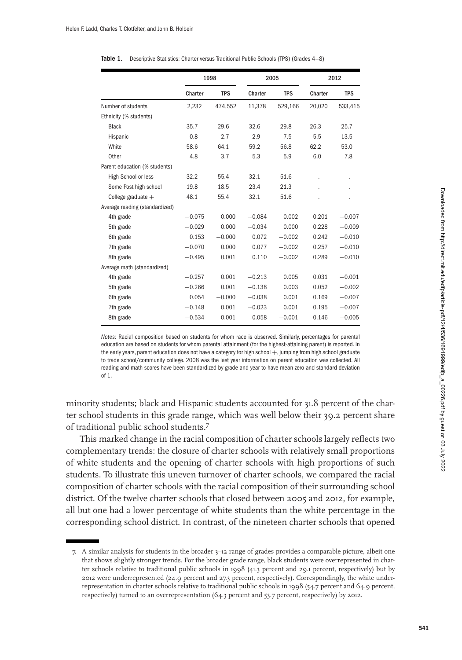|                                |          | 1998       |          | 2005       |         | 2012       |
|--------------------------------|----------|------------|----------|------------|---------|------------|
|                                | Charter  | <b>TPS</b> | Charter  | <b>TPS</b> | Charter | <b>TPS</b> |
| Number of students             | 2,232    | 474,552    | 11,378   | 529,166    | 20,020  | 533,415    |
| Ethnicity (% students)         |          |            |          |            |         |            |
| <b>Black</b>                   | 35.7     | 29.6       | 32.6     | 29.8       | 26.3    | 25.7       |
| Hispanic                       | 0.8      | 2.7        | 2.9      | 7.5        | 5.5     | 13.5       |
| White                          | 58.6     | 64.1       | 59.2     | 56.8       | 62.2    | 53.0       |
| Other                          | 4.8      | 3.7        | 5.3      | 5.9        | 6.0     | 7.8        |
| Parent education (% students)  |          |            |          |            |         |            |
| High School or less            | 32.2     | 55.4       | 32.1     | 51.6       |         |            |
| Some Post high school          | 19.8     | 18.5       | 23.4     | 21.3       |         |            |
| College graduate $+$           | 48.1     | 55.4       | 32.1     | 51.6       |         |            |
| Average reading (standardized) |          |            |          |            |         |            |
| 4th grade                      | $-0.075$ | 0.000      | $-0.084$ | 0.002      | 0.201   | $-0.007$   |
| 5th grade                      | $-0.029$ | 0.000      | $-0.034$ | 0.000      | 0.228   | $-0.009$   |
| 6th grade                      | 0.153    | $-0.000$   | 0.072    | $-0.002$   | 0.242   | $-0.010$   |
| 7th grade                      | $-0.070$ | 0.000      | 0.077    | $-0.002$   | 0.257   | $-0.010$   |
| 8th grade                      | $-0.495$ | 0.001      | 0.110    | $-0.002$   | 0.289   | $-0.010$   |
| Average math (standardized)    |          |            |          |            |         |            |
| 4th grade                      | $-0.257$ | 0.001      | $-0.213$ | 0.005      | 0.031   | $-0.001$   |
| 5th grade                      | $-0.266$ | 0.001      | $-0.138$ | 0.003      | 0.052   | $-0.002$   |
| 6th grade                      | 0.054    | $-0.000$   | $-0.038$ | 0.001      | 0.169   | $-0.007$   |
| 7th grade                      | $-0.148$ | 0.001      | $-0.023$ | 0.001      | 0.195   | $-0.007$   |
| 8th grade                      | $-0.534$ | 0.001      | 0.058    | $-0.001$   | 0.146   | $-0.005$   |

<span id="page-5-0"></span>

|  | Table 1. Descriptive Statistics: Charter versus Traditional Public Schools (TPS) (Grades 4–8) |  |  |  |  |  |
|--|-----------------------------------------------------------------------------------------------|--|--|--|--|--|
|--|-----------------------------------------------------------------------------------------------|--|--|--|--|--|

Notes: Racial composition based on students for whom race is observed. Similarly, percentages for parental education are based on students for whom parental attainment (for the highest-attaining parent) is reported. In the early years, parent education does not have a category for high school  $+$ , jumping from high school graduate to trade school/community college. 2008 was the last year information on parent education was collected. All reading and math scores have been standardized by grade and year to have mean zero and standard deviation of 1.

minority students; black and Hispanic students accounted for 31.8 percent of the charter school students in this grade range, which was well below their 39.2 percent share of traditional public school students.<sup>7</sup>

This marked change in the racial composition of charter schools largely reflects two complementary trends: the closure of charter schools with relatively small proportions of white students and the opening of charter schools with high proportions of such students. To illustrate this uneven turnover of charter schools, we compared the racial composition of charter schools with the racial composition of their surrounding school district. Of the twelve charter schools that closed between 2005 and 2012, for example, all but one had a lower percentage of white students than the white percentage in the corresponding school district. In contrast, of the nineteen charter schools that opened

<sup>7.</sup> A similar analysis for students in the broader 3–12 range of grades provides a comparable picture, albeit one that shows slightly stronger trends. For the broader grade range, black students were overrepresented in charter schools relative to traditional public schools in 1998 (41.3 percent and 29.1 percent, respectively) but by 2012 were underrepresented (24.9 percent and 27.3 percent, respectively). Correspondingly, the white underrepresentation in charter schools relative to traditional public schools in 1998 (54.7 percent and 64.9 percent, respectively) turned to an overrepresentation (64.3 percent and 53.7 percent, respectively) by 2012.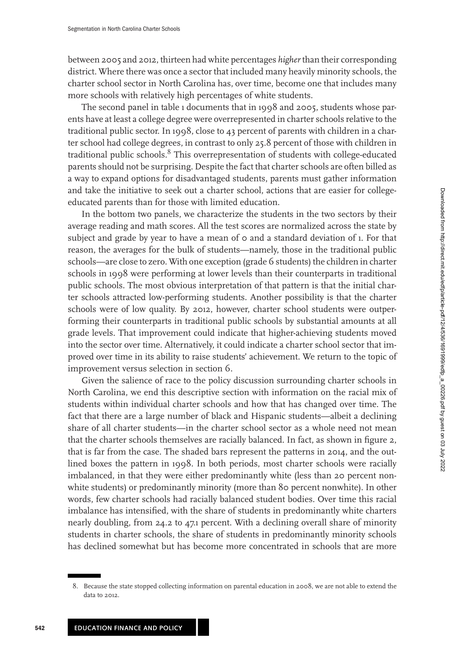between 2005 and 2012, thirteen had white percentages *higher*than their corresponding district. Where there was once a sector that included many heavily minority schools, the charter school sector in North Carolina has, over time, become one that includes many more schools with relatively high percentages of white students.

The second panel in table [1](#page-5-0) documents that in 1998 and 2005, students whose parents have at least a college degree were overrepresented in charter schools relative to the traditional public sector. In 1998, close to 43 percent of parents with children in a charter school had college degrees, in contrast to only 25.8 percent of those with children in traditional public schools.<sup>8</sup> This overrepresentation of students with college-educated parents should not be surprising. Despite the fact that charter schools are often billed as a way to expand options for disadvantaged students, parents must gather information and take the initiative to seek out a charter school, actions that are easier for collegeeducated parents than for those with limited education.

In the bottom two panels, we characterize the students in the two sectors by their average reading and math scores. All the test scores are normalized across the state by subject and grade by year to have a mean of 0 and a standard deviation of 1. For that reason, the averages for the bulk of students—namely, those in the traditional public schools—are close to zero. With one exception (grade 6 students) the children in charter schools in 1998 were performing at lower levels than their counterparts in traditional public schools. The most obvious interpretation of that pattern is that the initial charter schools attracted low-performing students. Another possibility is that the charter schools were of low quality. By 2012, however, charter school students were outperforming their counterparts in traditional public schools by substantial amounts at all grade levels. That improvement could indicate that higher-achieving students moved into the sector over time. Alternatively, it could indicate a charter school sector that improved over time in its ability to raise students' achievement. We return to the topic of improvement versus selection in section [6.](#page-18-0)

Given the salience of race to the policy discussion surrounding charter schools in North Carolina, we end this descriptive section with information on the racial mix of students within individual charter schools and how that has changed over time. The fact that there are a large number of black and Hispanic students—albeit a declining share of all charter students—in the charter school sector as a whole need not mean that the charter schools themselves are racially balanced. In fact, as shown in figure [2,](#page-7-0) that is far from the case. The shaded bars represent the patterns in 2014, and the outlined boxes the pattern in 1998. In both periods, most charter schools were racially imbalanced, in that they were either predominantly white (less than 20 percent nonwhite students) or predominantly minority (more than 80 percent nonwhite). In other words, few charter schools had racially balanced student bodies. Over time this racial imbalance has intensified, with the share of students in predominantly white charters nearly doubling, from 24.2 to 47.1 percent. With a declining overall share of minority students in charter schools, the share of students in predominantly minority schools has declined somewhat but has become more concentrated in schools that are more

<sup>8.</sup> Because the state stopped collecting information on parental education in 2008, we are not able to extend the data to 2012.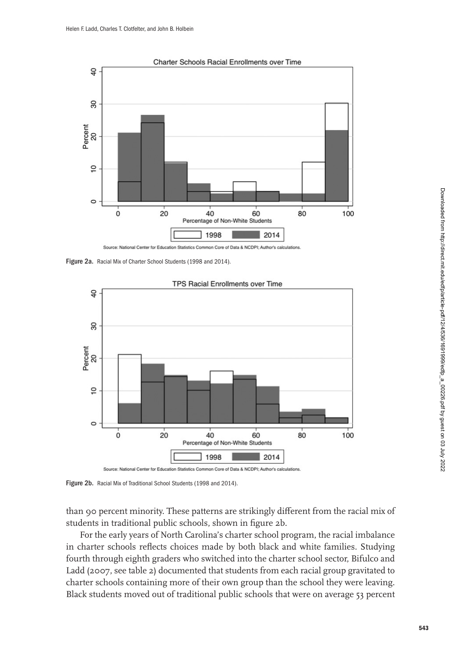<span id="page-7-0"></span>

Figure 2a. Racial Mix of Charter School Students (1998 and 2014).



Figure 2b. Racial Mix of Traditional School Students (1998 and 2014).

than 90 percent minority. These patterns are strikingly different from the racial mix of students in traditional public schools, shown in figure 2b.

For the early years of North Carolina's charter school program, the racial imbalance in charter schools reflects choices made by both black and white families. Studying fourth through eighth graders who switched into the charter school sector, Bifulco and Ladd [\(2007,](#page-25-0) see table [2\)](#page-15-0) documented that students from each racial group gravitated to charter schools containing more of their own group than the school they were leaving. Black students moved out of traditional public schools that were on average 53 percent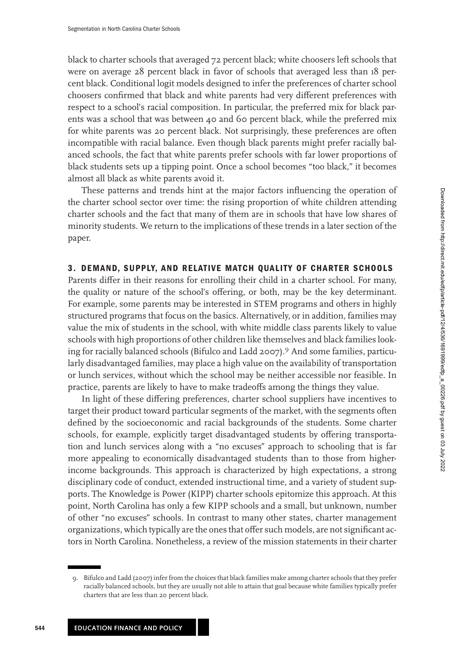<span id="page-8-0"></span>black to charter schools that averaged 72 percent black; white choosers left schools that were on average 28 percent black in favor of schools that averaged less than 18 percent black. Conditional logit models designed to infer the preferences of charter school choosers confirmed that black and white parents had very different preferences with respect to a school's racial composition. In particular, the preferred mix for black parents was a school that was between 40 and 60 percent black, while the preferred mix for white parents was 20 percent black. Not surprisingly, these preferences are often incompatible with racial balance. Even though black parents might prefer racially balanced schools, the fact that white parents prefer schools with far lower proportions of black students sets up a tipping point. Once a school becomes "too black," it becomes almost all black as white parents avoid it.

These patterns and trends hint at the major factors influencing the operation of the charter school sector over time: the rising proportion of white children attending charter schools and the fact that many of them are in schools that have low shares of minority students. We return to the implications of these trends in a later section of the paper.

## **3. DEMAND, SUPPLY, AND RELATIVE MATCH QUALITY OF CHARTER SCHOOLS**

Parents differ in their reasons for enrolling their child in a charter school. For many, the quality or nature of the school's offering, or both, may be the key determinant. For example, some parents may be interested in STEM programs and others in highly structured programs that focus on the basics. Alternatively, or in addition, families may value the mix of students in the school, with white middle class parents likely to value schools with high proportions of other children like themselves and black families looking for racially balanced schools (Bifulco and Ladd [2007\)](#page-25-0).<sup>9</sup> And some families, particularly disadvantaged families, may place a high value on the availability of transportation or lunch services, without which the school may be neither accessible nor feasible. In practice, parents are likely to have to make tradeoffs among the things they value.

In light of these differing preferences, charter school suppliers have incentives to target their product toward particular segments of the market, with the segments often defined by the socioeconomic and racial backgrounds of the students. Some charter schools, for example, explicitly target disadvantaged students by offering transportation and lunch services along with a "no excuses" approach to schooling that is far more appealing to economically disadvantaged students than to those from higherincome backgrounds. This approach is characterized by high expectations, a strong disciplinary code of conduct, extended instructional time, and a variety of student supports. The Knowledge is Power (KIPP) charter schools epitomize this approach. At this point, North Carolina has only a few KIPP schools and a small, but unknown, number of other "no excuses" schools. In contrast to many other states, charter management organizations, which typically are the ones that offer such models, are not significant actors in North Carolina. Nonetheless, a review of the mission statements in their charter

<sup>9.</sup> Bifulco and Ladd [\(2007\)](#page-25-0) infer from the choices that black families make among charter schools that they prefer racially balanced schools, but they are usually not able to attain that goal because white families typically prefer charters that are less than 20 percent black.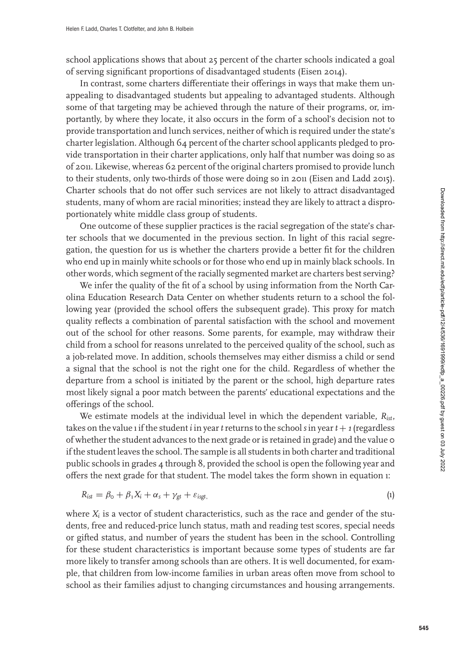school applications shows that about 25 percent of the charter schools indicated a goal of serving significant proportions of disadvantaged students (Eisen [2014\)](#page-25-0).

In contrast, some charters differentiate their offerings in ways that make them unappealing to disadvantaged students but appealing to advantaged students. Although some of that targeting may be achieved through the nature of their programs, or, importantly, by where they locate, it also occurs in the form of a school's decision not to provide transportation and lunch services, neither of which is required under the state's charter legislation. Although 64 percent of the charter school applicants pledged to provide transportation in their charter applications, only half that number was doing so as of 2011. Likewise, whereas 62 percent of the original charters promised to provide lunch to their students, only two-thirds of those were doing so in 2011 (Eisen and Ladd [2015\)](#page-26-0). Charter schools that do not offer such services are not likely to attract disadvantaged students, many of whom are racial minorities; instead they are likely to attract a disproportionately white middle class group of students.

One outcome of these supplier practices is the racial segregation of the state's charter schools that we documented in the previous section. In light of this racial segregation, the question for us is whether the charters provide a better fit for the children who end up in mainly white schools or for those who end up in mainly black schools. In other words, which segment of the racially segmented market are charters best serving?

We infer the quality of the fit of a school by using information from the North Carolina Education Research Data Center on whether students return to a school the following year (provided the school offers the subsequent grade). This proxy for match quality reflects a combination of parental satisfaction with the school and movement out of the school for other reasons. Some parents, for example, may withdraw their child from a school for reasons unrelated to the perceived quality of the school, such as a job-related move. In addition, schools themselves may either dismiss a child or send a signal that the school is not the right one for the child. Regardless of whether the departure from a school is initiated by the parent or the school, high departure rates most likely signal a poor match between the parents' educational expectations and the offerings of the school.

We estimate models at the individual level in which the dependent variable, *Rist*, takes on the value 1 if the student *i* in year *t* returns to the school *s* in year  $t + 1$  (regardless of whether the student advances to the next grade or is retained in grade) and the value 0 if the student leaves the school. The sample is all students in both charter and traditional public schools in grades 4 through 8, provided the school is open the following year and offers the next grade for that student. The model takes the form shown in equation 1:

$$
R_{ist} = \beta_{\rm o} + \beta_1 X_i + \alpha_s + \gamma_{gt} + \varepsilon_{\rm isgt},\tag{1}
$$

where  $X_i$  is a vector of student characteristics, such as the race and gender of the students, free and reduced-price lunch status, math and reading test scores, special needs or gifted status, and number of years the student has been in the school. Controlling for these student characteristics is important because some types of students are far more likely to transfer among schools than are others. It is well documented, for example, that children from low-income families in urban areas often move from school to school as their families adjust to changing circumstances and housing arrangements.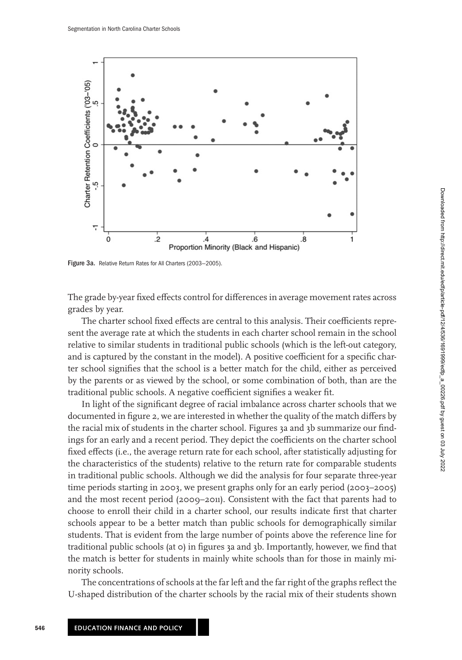

Figure 3a. Relative Return Rates for All Charters (2003-2005).

The grade by-year fixed effects control for differences in average movement rates across grades by year.

The charter school fixed effects are central to this analysis. Their coefficients represent the average rate at which the students in each charter school remain in the school relative to similar students in traditional public schools (which is the left-out category, and is captured by the constant in the model). A positive coefficient for a specific charter school signifies that the school is a better match for the child, either as perceived by the parents or as viewed by the school, or some combination of both, than are the traditional public schools. A negative coefficient signifies a weaker fit.

In light of the significant degree of racial imbalance across charter schools that we documented in figure [2,](#page-7-0) we are interested in whether the quality of the match differs by the racial mix of students in the charter school. Figures 3a and [3b](#page-11-0) summarize our findings for an early and a recent period. They depict the coefficients on the charter school fixed effects (i.e., the average return rate for each school, after statistically adjusting for the characteristics of the students) relative to the return rate for comparable students in traditional public schools. Although we did the analysis for four separate three-year time periods starting in 2003, we present graphs only for an early period (2003–2005) and the most recent period (2009–2011). Consistent with the fact that parents had to choose to enroll their child in a charter school, our results indicate first that charter schools appear to be a better match than public schools for demographically similar students. That is evident from the large number of points above the reference line for traditional public schools (at 0) in figures 3a and [3b.](#page-11-0) Importantly, however, we find that the match is better for students in mainly white schools than for those in mainly minority schools.

The concentrations of schools at the far left and the far right of the graphs reflect the U-shaped distribution of the charter schools by the racial mix of their students shown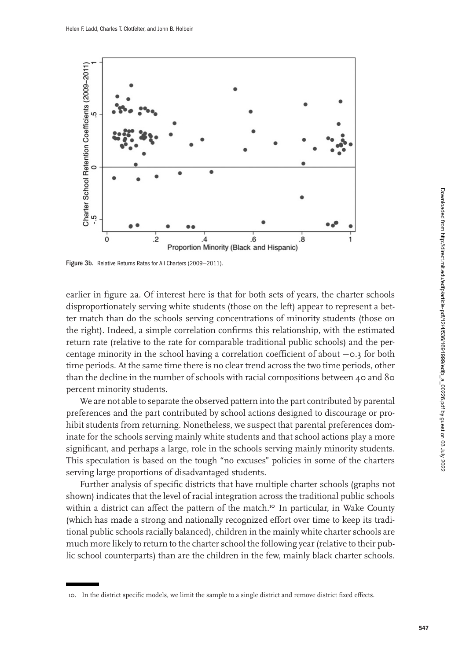<span id="page-11-0"></span>

Figure 3b. Relative Returns Rates for All Charters (2009—2011).

earlier in figure [2a.](#page-7-0) Of interest here is that for both sets of years, the charter schools disproportionately serving white students (those on the left) appear to represent a better match than do the schools serving concentrations of minority students (those on the right). Indeed, a simple correlation confirms this relationship, with the estimated return rate (relative to the rate for comparable traditional public schools) and the percentage minority in the school having a correlation coefficient of about −0.3 for both time periods. At the same time there is no clear trend across the two time periods, other than the decline in the number of schools with racial compositions between 40 and 80 percent minority students.

We are not able to separate the observed pattern into the part contributed by parental preferences and the part contributed by school actions designed to discourage or prohibit students from returning. Nonetheless, we suspect that parental preferences dominate for the schools serving mainly white students and that school actions play a more significant, and perhaps a large, role in the schools serving mainly minority students. This speculation is based on the tough "no excuses" policies in some of the charters serving large proportions of disadvantaged students.

Further analysis of specific districts that have multiple charter schools (graphs not shown) indicates that the level of racial integration across the traditional public schools within a district can affect the pattern of the match.<sup>10</sup> In particular, in Wake County (which has made a strong and nationally recognized effort over time to keep its traditional public schools racially balanced), children in the mainly white charter schools are much more likely to return to the charter school the following year (relative to their public school counterparts) than are the children in the few, mainly black charter schools.

<sup>10.</sup> In the district specific models, we limit the sample to a single district and remove district fixed effects.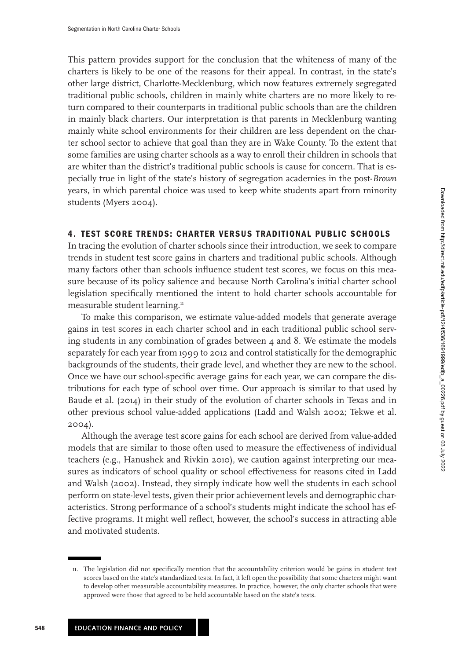<span id="page-12-0"></span>This pattern provides support for the conclusion that the whiteness of many of the charters is likely to be one of the reasons for their appeal. In contrast, in the state's other large district, Charlotte-Mecklenburg, which now features extremely segregated traditional public schools, children in mainly white charters are no more likely to return compared to their counterparts in traditional public schools than are the children in mainly black charters. Our interpretation is that parents in Mecklenburg wanting mainly white school environments for their children are less dependent on the charter school sector to achieve that goal than they are in Wake County. To the extent that some families are using charter schools as a way to enroll their children in schools that are whiter than the district's traditional public schools is cause for concern. That is especially true in light of the state's history of segregation academies in the post-*Brown* years, in which parental choice was used to keep white students apart from minority students (Myers [2004\)](#page-26-0).

## **4. TEST SCORE TRENDS: CHARTER VERSUS TRADITIONAL PUBLIC SCHOOLS**

In tracing the evolution of charter schools since their introduction, we seek to compare trends in student test score gains in charters and traditional public schools. Although many factors other than schools influence student test scores, we focus on this measure because of its policy salience and because North Carolina's initial charter school legislation specifically mentioned the intent to hold charter schools accountable for measurable student learning.<sup>11</sup>

To make this comparison, we estimate value-added models that generate average gains in test scores in each charter school and in each traditional public school serving students in any combination of grades between  $4$  and 8. We estimate the models separately for each year from 1999 to 2012 and control statistically for the demographic backgrounds of the students, their grade level, and whether they are new to the school. Once we have our school-specific average gains for each year, we can compare the distributions for each type of school over time. Our approach is similar to that used by Baude et al. [\(2014\)](#page-25-0) in their study of the evolution of charter schools in Texas and in other previous school value-added applications (Ladd and Walsh [2002;](#page-26-0) Tekwe et al. [2004\)](#page-26-0).

Although the average test score gains for each school are derived from value-added models that are similar to those often used to measure the effectiveness of individual teachers (e.g., Hanushek and Rivkin [2010\)](#page-26-0), we caution against interpreting our measures as indicators of school quality or school effectiveness for reasons cited in Ladd and Walsh [\(2002\)](#page-26-0). Instead, they simply indicate how well the students in each school perform on state-level tests, given their prior achievement levels and demographic characteristics. Strong performance of a school's students might indicate the school has effective programs. It might well reflect, however, the school's success in attracting able and motivated students.

<sup>11.</sup> The legislation did not specifically mention that the accountability criterion would be gains in student test scores based on the state's standardized tests. In fact, it left open the possibility that some charters might want to develop other measurable accountability measures. In practice, however, the only charter schools that were approved were those that agreed to be held accountable based on the state's tests.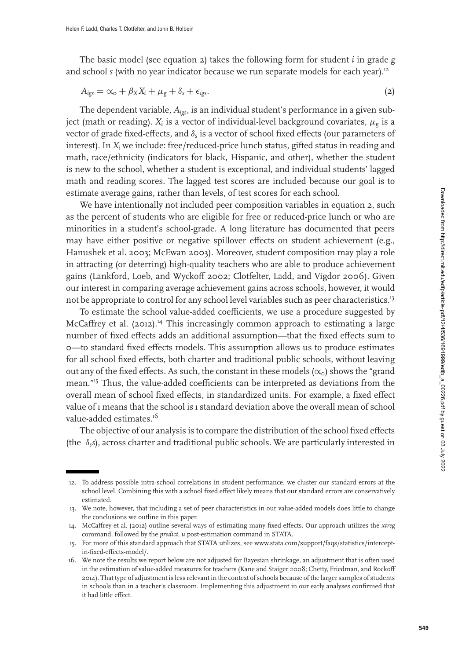The basic model (see equation 2) takes the following form for student *i* in grade *g* and school *s* (with no year indicator because we run separate models for each year).<sup>12</sup>

$$
A_{\text{iggs}} = \alpha_{\text{o}} + \beta_X X_i + \mu_{\text{g}} + \delta_{\text{s}} + \epsilon_{\text{iggs}}.
$$
 (2)

The dependent variable, *Aigs*, is an individual student's performance in a given subject (math or reading).  $X_i$  is a vector of individual-level background covariates,  $\mu_g$  is a vector of grade fixed-effects, and δ*<sup>s</sup>* is a vector of school fixed effects (our parameters of interest). In *Xi* we include: free/reduced-price lunch status, gifted status in reading and math, race/ethnicity (indicators for black, Hispanic, and other), whether the student is new to the school, whether a student is exceptional, and individual students' lagged math and reading scores. The lagged test scores are included because our goal is to estimate average gains, rather than levels, of test scores for each school.

We have intentionally not included peer composition variables in equation 2, such as the percent of students who are eligible for free or reduced-price lunch or who are minorities in a student's school-grade. A long literature has documented that peers may have either positive or negative spillover effects on student achievement (e.g., Hanushek et al. [2003;](#page-26-0) McEwan [2003\)](#page-26-0). Moreover, student composition may play a role in attracting (or deterring) high-quality teachers who are able to produce achievement gains (Lankford, Loeb, and Wyckoff [2002;](#page-26-0) Clotfelter, Ladd, and Vigdor [2006\)](#page-25-0). Given our interest in comparing average achievement gains across schools, however, it would not be appropriate to control for any school level variables such as peer characteristics.13

To estimate the school value-added coefficients, we use a procedure suggested by McCaffrey et al. [\(2012\)](#page-26-0).<sup>14</sup> This increasingly common approach to estimating a large number of fixed effects adds an additional assumption—that the fixed effects sum to 0—to standard fixed effects models. This assumption allows us to produce estimates for all school fixed effects, both charter and traditional public schools, without leaving out any of the fixed effects. As such, the constant in these models ( $\propto_0$ ) shows the "grand mean."<sup>15</sup> Thus, the value-added coefficients can be interpreted as deviations from the overall mean of school fixed effects, in standardized units. For example, a fixed effect value of 1 means that the school is 1 standard deviation above the overall mean of school value-added estimates.<sup>16</sup>

The objective of our analysis is to compare the distribution of the school fixed effects (the  $\delta_s$ s), across charter and traditional public schools. We are particularly interested in

<sup>12.</sup> To address possible intra-school correlations in student performance, we cluster our standard errors at the school level. Combining this with a school fixed effect likely means that our standard errors are conservatively estimated.

<sup>13.</sup> We note, however, that including a set of peer characteristics in our value-added models does little to change the conclusions we outline in this paper.

<sup>14.</sup> McCaffrey et al. [\(2012\)](#page-26-0) outline several ways of estimating many fixed effects. Our approach utilizes the *xtreg* command, followed by the *predict, u* post-estimation command in STATA.

<sup>15.</sup> For more of this standard approach that STATA utilizes, see www.stata.com/support/faqs/statistics/interceptin-fixed-effects-model/.

<sup>16.</sup> We note the results we report below are not adjusted for Bayesian shrinkage, an adjustment that is often used in the estimation of value-added measures for teachers (Kane and Staiger [2008;](#page-26-0) Chetty, Friedman, and Rockoff [2014\)](#page-25-0). That type of adjustment is less relevant in the context of schools because of the larger samples of students in schools than in a teacher's classroom. Implementing this adjustment in our early analyses confirmed that it had little effect.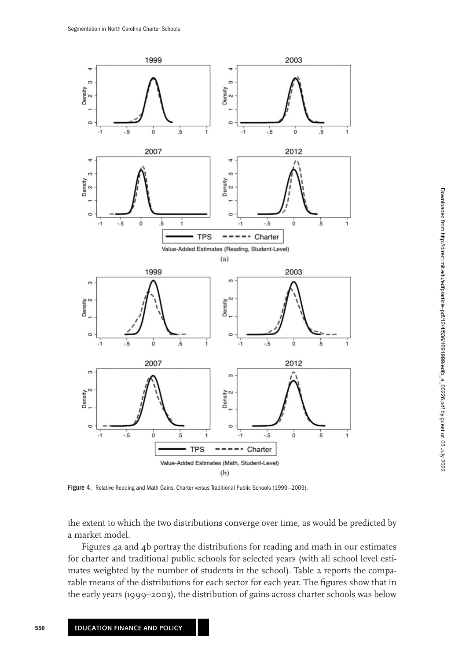

Figure 4. Relative Reading and Math Gains, Charter versus Traditional Public Schools (1999-2009).

the extent to which the two distributions converge over time, as would be predicted by a market model.

Figures 4a and 4b portray the distributions for reading and math in our estimates for charter and traditional public schools for selected years (with all school level estimates weighted by the number of students in the school). Table [2](#page-15-0) reports the comparable means of the distributions for each sector for each year. The figures show that in the early years (1999–2003), the distribution of gains across charter schools was below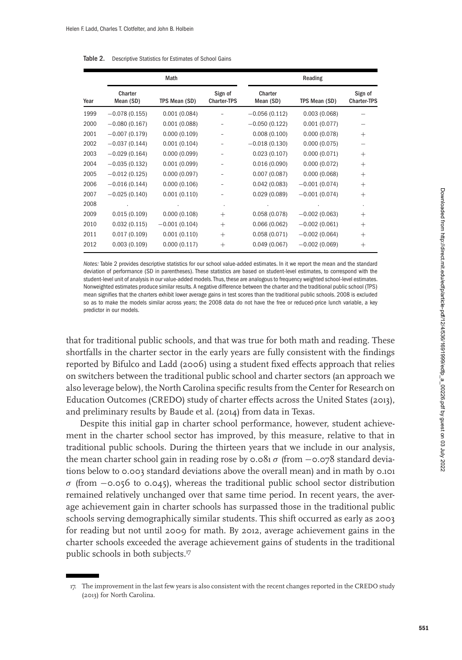|      |                      | Math            |                               |                      | Reading         |                               |
|------|----------------------|-----------------|-------------------------------|----------------------|-----------------|-------------------------------|
| Year | Charter<br>Mean (SD) | TPS Mean (SD)   | Sign of<br><b>Charter-TPS</b> | Charter<br>Mean (SD) | TPS Mean (SD)   | Sign of<br><b>Charter-TPS</b> |
| 1999 | $-0.078(0.155)$      | 0.001(0.084)    |                               | $-0.056(0.112)$      | 0.003(0.068)    |                               |
| 2000 | $-0.080(0.167)$      | 0.001(0.088)    |                               | $-0.050(0.122)$      | 0.001(0.077)    |                               |
| 2001 | $-0.007(0.179)$      | 0.000(0.109)    |                               | 0.008(0.100)         | 0.000(0.078)    | $^{+}$                        |
| 2002 | $-0.037(0.144)$      | 0.001(0.104)    |                               | $-0.018(0.130)$      | 0.000(0.075)    |                               |
| 2003 | $-0.029(0.164)$      | 0.000(0.099)    |                               | 0.023(0.107)         | 0.000(0.071)    | $^{+}$                        |
| 2004 | $-0.035(0.132)$      | 0.001(0.099)    |                               | 0.016(0.090)         | 0.000(0.072)    | $^{+}$                        |
| 2005 | $-0.012(0.125)$      | 0.000(0.097)    |                               | 0.007(0.087)         | 0.000(0.068)    | $^{+}$                        |
| 2006 | $-0.016(0.144)$      | 0.000(0.106)    |                               | 0.042(0.083)         | $-0.001(0.074)$ | $^{+}$                        |
| 2007 | $-0.025(0.140)$      | 0.001(0.110)    |                               | 0.029(0.089)         | $-0.001(0.074)$ | $^{+}$                        |
| 2008 |                      |                 |                               |                      |                 |                               |
| 2009 | 0.015(0.109)         | 0.000(0.108)    | $^{+}$                        | 0.058(0.078)         | $-0.002(0.063)$ | $^{+}$                        |
| 2010 | 0.032(0.115)         | $-0.001(0.104)$ | $^{+}$                        | 0.066(0.062)         | $-0.002(0.061)$ | $^{+}$                        |
| 2011 | 0.017(0.109)         | 0.001(0.110)    | $^{+}$                        | 0.058(0.071)         | $-0.002(0.064)$ | $^{+}$                        |
| 2012 | 0.003(0.109)         | 0.000(0.117)    | $^+$                          | 0.049(0.067)         | $-0.002(0.069)$ | $\hspace{0.1mm} +$            |

<span id="page-15-0"></span>

| Table 2. |  | Descriptive Statistics for Estimates of School Gains |  |  |  |
|----------|--|------------------------------------------------------|--|--|--|
|----------|--|------------------------------------------------------|--|--|--|

Notes: Table 2 provides descriptive statistics for our school value-added estimates. In it we report the mean and the standard deviation of performance (SD in parentheses). These statistics are based on student-level estimates, to correspond with the student-level unit of analysis in our value-added models. Thus, these are analogous to frequency weighted school-level estimates. Nonweighted estimates produce similar results. A negative difference between the charter and the traditional public school (TPS) mean signifies that the charters exhibit lower average gains in test scores than the traditional public schools. 2008 is excluded so as to make the models similar across years; the 2008 data do not have the free or reduced-price lunch variable, a key predictor in our models.

that for traditional public schools, and that was true for both math and reading. These shortfalls in the charter sector in the early years are fully consistent with the findings reported by Bifulco and Ladd [\(2006\)](#page-25-0) using a student fixed effects approach that relies on switchers between the traditional public school and charter sectors (an approach we also leverage below), the North Carolina specific results from the Center for Research on Education Outcomes (CREDO) study of charter effects across the United States [\(2013\)](#page-25-0), and preliminary results by Baude et al. [\(2014\)](#page-25-0) from data in Texas.

Despite this initial gap in charter school performance, however, student achievement in the charter school sector has improved, by this measure, relative to that in traditional public schools. During the thirteen years that we include in our analysis, the mean charter school gain in reading rose by  $\cos \theta$  (from  $-\cos \theta$  standard deviations below to 0.003 standard deviations above the overall mean) and in math by 0.101  $σ$  (from  $-\text{o}.\text{o}56$  to  $\text{o}.\text{o}45$ ), whereas the traditional public school sector distribution remained relatively unchanged over that same time period. In recent years, the average achievement gain in charter schools has surpassed those in the traditional public schools serving demographically similar students. This shift occurred as early as 2003 for reading but not until 2009 for math. By 2012, average achievement gains in the charter schools exceeded the average achievement gains of students in the traditional public schools in both subjects.<sup>17</sup>

<sup>17.</sup> The improvement in the last few years is also consistent with the recent changes reported in the CREDO study (2013) for North Carolina.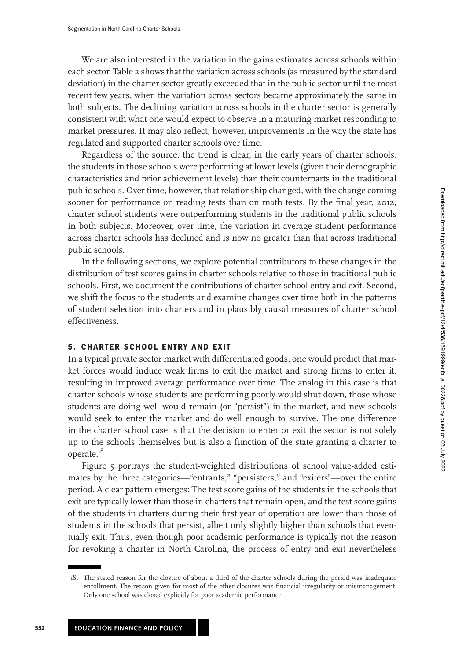<span id="page-16-0"></span>We are also interested in the variation in the gains estimates across schools within each sector. Table [2](#page-15-0) shows that the variation across schools (as measured by the standard deviation) in the charter sector greatly exceeded that in the public sector until the most recent few years, when the variation across sectors became approximately the same in both subjects. The declining variation across schools in the charter sector is generally consistent with what one would expect to observe in a maturing market responding to market pressures. It may also reflect, however, improvements in the way the state has regulated and supported charter schools over time.

Regardless of the source, the trend is clear; in the early years of charter schools, the students in those schools were performing at lower levels (given their demographic characteristics and prior achievement levels) than their counterparts in the traditional public schools. Over time, however, that relationship changed, with the change coming sooner for performance on reading tests than on math tests. By the final year, 2012, charter school students were outperforming students in the traditional public schools in both subjects. Moreover, over time, the variation in average student performance across charter schools has declined and is now no greater than that across traditional public schools.

In the following sections, we explore potential contributors to these changes in the distribution of test scores gains in charter schools relative to those in traditional public schools. First, we document the contributions of charter school entry and exit. Second, we shift the focus to the students and examine changes over time both in the patterns of student selection into charters and in plausibly causal measures of charter school effectiveness.

## **5. CHARTER SCHOOL ENTRY AND EXIT**

In a typical private sector market with differentiated goods, one would predict that market forces would induce weak firms to exit the market and strong firms to enter it, resulting in improved average performance over time. The analog in this case is that charter schools whose students are performing poorly would shut down, those whose students are doing well would remain (or "persist") in the market, and new schools would seek to enter the market and do well enough to survive. The one difference in the charter school case is that the decision to enter or exit the sector is not solely up to the schools themselves but is also a function of the state granting a charter to operate.<sup>18</sup>

Figure [5](#page-17-0) portrays the student-weighted distributions of school value-added estimates by the three categories—"entrants," "persisters," and "exiters"—over the entire period. A clear pattern emerges: The test score gains of the students in the schools that exit are typically lower than those in charters that remain open, and the test score gains of the students in charters during their first year of operation are lower than those of students in the schools that persist, albeit only slightly higher than schools that eventually exit. Thus, even though poor academic performance is typically not the reason for revoking a charter in North Carolina, the process of entry and exit nevertheless

<sup>18.</sup> The stated reason for the closure of about a third of the charter schools during the period was inadequate enrollment. The reason given for most of the other closures was financial irregularity or mismanagement. Only one school was closed explicitly for poor academic performance.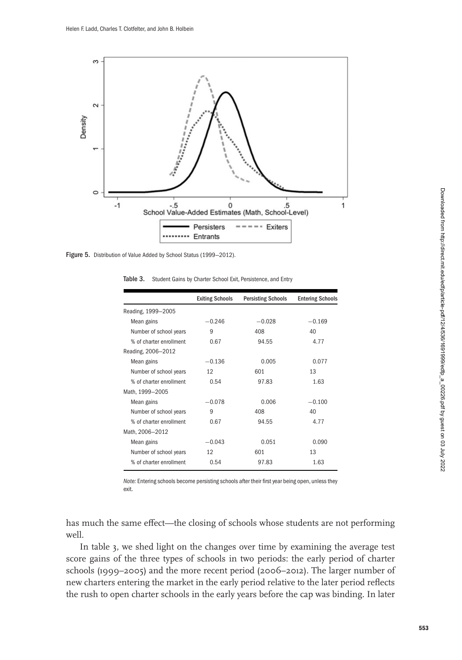<span id="page-17-0"></span>

Figure 5. Distribution of Value Added by School Status (1999-2012).

Table 3. Student Gains by Charter School Exit, Persistence, and Entry

|                         | <b>Exiting Schools</b> | <b>Persisting Schools</b> | <b>Entering Schools</b> |
|-------------------------|------------------------|---------------------------|-------------------------|
| Reading, 1999-2005      |                        |                           |                         |
| Mean gains              | $-0.246$               | $-0.028$                  | $-0.169$                |
| Number of school years  | 9                      | 408                       | 40                      |
| % of charter enrollment | 0.67                   | 94.55                     | 4.77                    |
| Reading, 2006-2012      |                        |                           |                         |
| Mean gains              | $-0.136$               | 0.005                     | 0.077                   |
| Number of school years  | 12                     | 601                       | 13                      |
| % of charter enrollment | 0.54                   | 97.83                     | 1.63                    |
| Math, 1999-2005         |                        |                           |                         |
| Mean gains              | $-0.078$               | 0.006                     | $-0.100$                |
| Number of school years  | 9                      | 408                       | 40                      |
| % of charter enrollment | 0.67                   | 94.55                     | 4.77                    |
| Math, 2006-2012         |                        |                           |                         |
| Mean gains              | $-0.043$               | 0.051                     | 0.090                   |
| Number of school years  | 12                     | 601                       | 13                      |
| % of charter enrollment | 0.54                   | 97.83                     | 1.63                    |

Note: Entering schools become persisting schools after their first year being open, unless they exit.

has much the same effect—the closing of schools whose students are not performing well.

In table 3, we shed light on the changes over time by examining the average test score gains of the three types of schools in two periods: the early period of charter schools (1999–2005) and the more recent period (2006–2012). The larger number of new charters entering the market in the early period relative to the later period reflects the rush to open charter schools in the early years before the cap was binding. In later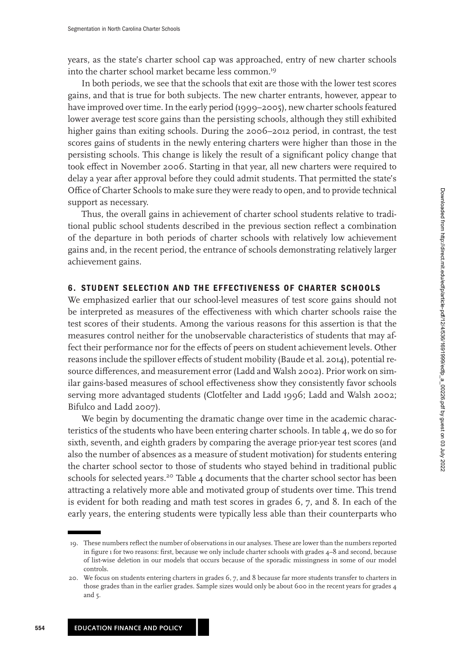<span id="page-18-0"></span>years, as the state's charter school cap was approached, entry of new charter schools into the charter school market became less common.<sup>19</sup>

In both periods, we see that the schools that exit are those with the lower test scores gains, and that is true for both subjects. The new charter entrants, however, appear to have improved over time. In the early period (1999–2005), new charter schools featured lower average test score gains than the persisting schools, although they still exhibited higher gains than exiting schools. During the 2006–2012 period, in contrast, the test scores gains of students in the newly entering charters were higher than those in the persisting schools. This change is likely the result of a significant policy change that took effect in November 2006. Starting in that year, all new charters were required to delay a year after approval before they could admit students. That permitted the state's Office of Charter Schools to make sure they were ready to open, and to provide technical support as necessary.

Thus, the overall gains in achievement of charter school students relative to traditional public school students described in the previous section reflect a combination of the departure in both periods of charter schools with relatively low achievement gains and, in the recent period, the entrance of schools demonstrating relatively larger achievement gains.

# **6. STUDENT SELECTION AND THE EFFECTIVENESS OF CHARTER SCHOOLS**

We emphasized earlier that our school-level measures of test score gains should not be interpreted as measures of the effectiveness with which charter schools raise the test scores of their students. Among the various reasons for this assertion is that the measures control neither for the unobservable characteristics of students that may affect their performance nor for the effects of peers on student achievement levels. Other reasons include the spillover effects of student mobility (Baude et al. [2014\)](#page-25-0), potential resource differences, and measurement error (Ladd and Walsh [2002\)](#page-26-0). Prior work on similar gains-based measures of school effectiveness show they consistently favor schools serving more advantaged students (Clotfelter and Ladd [1996;](#page-25-0) Ladd and Walsh [2002;](#page-26-0) Bifulco and Ladd [2007\)](#page-25-0).

We begin by documenting the dramatic change over time in the academic characteristics of the students who have been entering charter schools. In table [4,](#page-19-0) we do so for sixth, seventh, and eighth graders by comparing the average prior-year test scores (and also the number of absences as a measure of student motivation) for students entering the charter school sector to those of students who stayed behind in traditional public schools for selected years.<sup>20</sup> Table [4](#page-19-0) documents that the charter school sector has been attracting a relatively more able and motivated group of students over time. This trend is evident for both reading and math test scores in grades 6, 7, and 8. In each of the early years, the entering students were typically less able than their counterparts who

<sup>19.</sup> These numbers reflect the number of observations in our analyses. These are lower than the numbers reported in figure [1](#page-4-0) for two reasons: first, because we only include charter schools with grades 4–8 and second, because of list-wise deletion in our models that occurs because of the sporadic missingness in some of our model controls.

<sup>20.</sup> We focus on students entering charters in grades 6, 7, and 8 because far more students transfer to charters in those grades than in the earlier grades. Sample sizes would only be about 600 in the recent years for grades 4 and 5.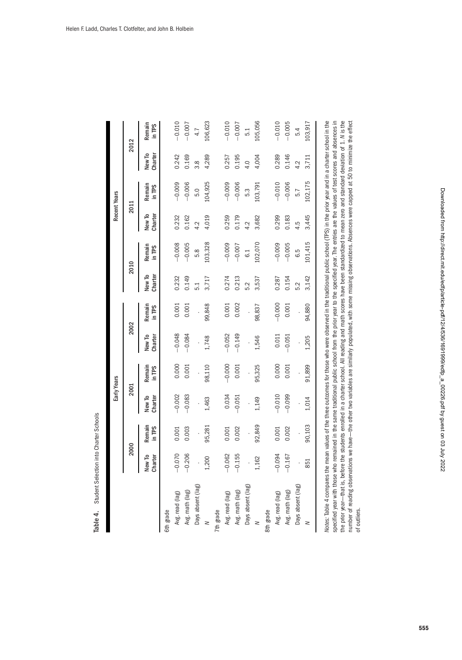| b                                                                       |  |
|-------------------------------------------------------------------------|--|
| $\sim$ 0.000 mm pair of the state $\sim$ 0.000 mm pair<br>$\frac{1}{2}$ |  |
| oluudiil oosevuu<br>- 2001 - 2011                                       |  |
| ė                                                                       |  |

<span id="page-19-0"></span>

|                   |                   |                  |                   | Early Years      |                   |                  |                   |                  |                   | Recent Years     |                   |                  |
|-------------------|-------------------|------------------|-------------------|------------------|-------------------|------------------|-------------------|------------------|-------------------|------------------|-------------------|------------------|
|                   | 2000              |                  | 2001              |                  | 2002              |                  |                   | 2010             |                   | 2011             |                   | 2012             |
|                   | New To<br>Charter | Remain<br>in TPS | New To<br>Charter | Remain<br>in TPS | New To<br>Charter | Remain<br>in TPS | New To<br>Charter | Remain<br>in TPS | New To<br>Charter | Remain<br>in TPS | New To<br>Charter | Remain<br>in TPS |
| 6th grade         |                   |                  |                   |                  |                   |                  |                   |                  |                   |                  |                   |                  |
| Avg. read (lag)   | $-0.070$          | 0.001            | $-0.002$          | 0.000            | $-0.048$          | 0.001            | 0.232             | $-0.008$         | 0.232             | $-0.009$         | 0.242             | $-0.010$         |
| Avg. math (lag)   | $-0.206$          | 0.003            | $-0.083$          | 0.001            | $-0.084$          | 0.001            | 0.149             | $-0.005$         | 0.162             | $-0.006$         | 0.169             | $-0.007$         |
| Days absent (lag) |                   |                  |                   |                  |                   |                  | $\overline{5.1}$  | 5.8              | 4.2               | 5.0              | 3.8               | 4.7              |
| z                 | 1,200             | 95,281           | 1,463             | 98,110           | 1,748             | 99,848           | 3,717             | 103,328          | 4,019             | 104,925          | 4,289             | 106,623          |
| 7th grade         |                   |                  |                   |                  |                   |                  |                   |                  |                   |                  |                   |                  |
| Avg. read (lag)   | $-0.062$          | 0.001            | 0.034             | $-0.000$         | $-0.052$          | 0.001            | 0.274             | $-0.009$         | 0.259             | $-0.009$         | 0.257             | $-0.010$         |
| Avg. math (lag)   | $-0.155$          | 0.002            | $-0.051$          | 0.001            | $-0.149$          | 0.002            | 0.213             | $-0.007$         | 0.179             | $-0.006$         | 0.195             | $-0.007$         |
| Days absent (lag) |                   |                  |                   |                  |                   |                  | 5.2               | 6.1              | 4.2               | 5.3              | 4.0               | 5.1              |
| z                 | 1,162             | 92,849           | 1,149             | 95,325           | 1,546             | 98,837           | 3,537             | 102,070          | 3,682             | 103,791          | 4,004             | 105,056          |
| 8th grade         |                   |                  |                   |                  |                   |                  |                   |                  |                   |                  |                   |                  |
| Avg. read (lag)   | $-0.094$          | 0.001            | $-0.010$          | 0.000            | 0.011             | $-0.000$         | 0.287             | $-0.009$         | 0.299             | $-0.010$         | 0.289             | $-0.010$         |
| Avg. math (lag)   | $-0.167$          | 0.002            | $-0.099$          | 0.001            | $-0.051$          | 0.001            | 0.154             | $-0.005$         | 0.183             | $-0.006$         | 0.146             | $-0.005$         |
| Days absent (lag) |                   |                  |                   |                  |                   |                  | 5.2               | 6.5              | 4.5               | 5.7              | 4.2               | 5.4              |
| z                 | 851               | 90,103           | 1,014             | 91,899           | 1,205             | 94,880           | 3,142             | 101,415          | 3,445             | 102,175          | 3,711             | 103,917          |

specified year with those who remained in the same traditional public school from the prior year to the specified year. The entries are the values of test scores and absences in Notes: labe 4 compares the mean values of the thee outcomes for those who were observed in the traditional public school (IPS) in the phor year and in a charter school in the the prior year-that is, before the students enrolled in a charter school. All reading and math scores have been standardized to mean zero and standard deviation of 1. N is the number of reading observations we have-the other two variables are similarly populated, with some missing observations. Absences were capped at 50 to minimize the effect number of reading observations we have–—the other two variables are similarly populated, with some missing observations. Absences were capped at 50 to minimize the effect Notes: Table 4 compares the mean values of the three outcomes for those who were observed in the traditional public school (TPS) in the prior year and in a charter school in the specified year with those who remained in the same traditional public school from the prior year to the specified year. The entries are the values of test scores and absences in the prior year–that is, before the students enrolled in a charter school. All reading and math scores have been standard to mean zero and standard deviation of 1. N is the of outliers. of outliers.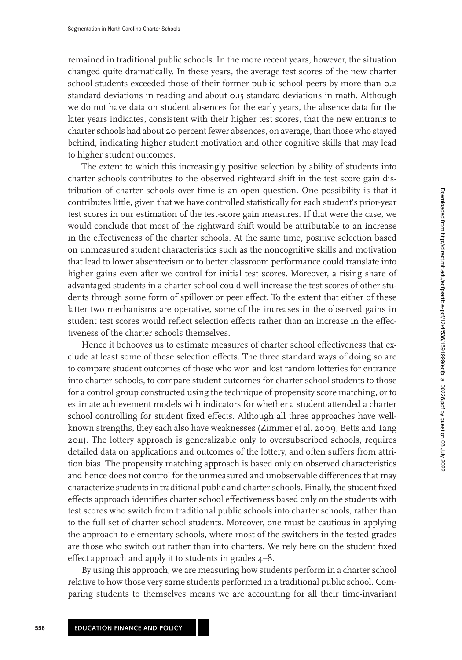remained in traditional public schools. In the more recent years, however, the situation changed quite dramatically. In these years, the average test scores of the new charter school students exceeded those of their former public school peers by more than 0.2 standard deviations in reading and about 0.15 standard deviations in math. Although we do not have data on student absences for the early years, the absence data for the later years indicates, consistent with their higher test scores, that the new entrants to charter schools had about 20 percent fewer absences, on average, than those who stayed behind, indicating higher student motivation and other cognitive skills that may lead to higher student outcomes.

The extent to which this increasingly positive selection by ability of students into charter schools contributes to the observed rightward shift in the test score gain distribution of charter schools over time is an open question. One possibility is that it contributes little, given that we have controlled statistically for each student's prior-year test scores in our estimation of the test-score gain measures. If that were the case, we would conclude that most of the rightward shift would be attributable to an increase in the effectiveness of the charter schools. At the same time, positive selection based on unmeasured student characteristics such as the noncognitive skills and motivation that lead to lower absenteeism or to better classroom performance could translate into higher gains even after we control for initial test scores. Moreover, a rising share of advantaged students in a charter school could well increase the test scores of other students through some form of spillover or peer effect. To the extent that either of these latter two mechanisms are operative, some of the increases in the observed gains in student test scores would reflect selection effects rather than an increase in the effectiveness of the charter schools themselves.

Hence it behooves us to estimate measures of charter school effectiveness that exclude at least some of these selection effects. The three standard ways of doing so are to compare student outcomes of those who won and lost random lotteries for entrance into charter schools, to compare student outcomes for charter school students to those for a control group constructed using the technique of propensity score matching, or to estimate achievement models with indicators for whether a student attended a charter school controlling for student fixed effects. Although all three approaches have wellknown strengths, they each also have weaknesses (Zimmer et al. [2009;](#page-26-0) Betts and Tang [2011\)](#page-25-0). The lottery approach is generalizable only to oversubscribed schools, requires detailed data on applications and outcomes of the lottery, and often suffers from attrition bias. The propensity matching approach is based only on observed characteristics and hence does not control for the unmeasured and unobservable differences that may characterize students in traditional public and charter schools. Finally, the student fixed effects approach identifies charter school effectiveness based only on the students with test scores who switch from traditional public schools into charter schools, rather than to the full set of charter school students. Moreover, one must be cautious in applying the approach to elementary schools, where most of the switchers in the tested grades are those who switch out rather than into charters. We rely here on the student fixed effect approach and apply it to students in grades 4–8.

By using this approach, we are measuring how students perform in a charter school relative to how those very same students performed in a traditional public school. Comparing students to themselves means we are accounting for all their time-invariant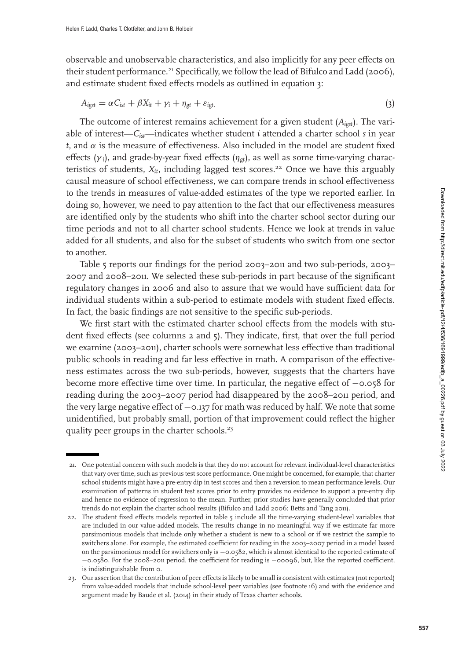observable and unobservable characteristics, and also implicitly for any peer effects on their student performance.<sup>21</sup> Specifically, we follow the lead of Bifulco and Ladd [\(2006\)](#page-25-0), and estimate student fixed effects models as outlined in equation 3:

$$
A_{\text{igst}} = \alpha C_{\text{ist}} + \beta X_{\text{it}} + \gamma_{\text{i}} + \eta_{\text{gt}} + \varepsilon_{\text{igt}}.\tag{3}
$$

The outcome of interest remains achievement for a given student (*Aigst*). The variable of interest—*Cist*—indicates whether student *i* attended a charter school *s* in year  $t$ , and  $\alpha$  is the measure of effectiveness. Also included in the model are student fixed effects ( $\gamma_i$ ), and grade-by-year fixed effects ( $\eta_{gt}$ ), as well as some time-varying characteristics of students,  $X_{it}$ , including lagged test scores.<sup>22</sup> Once we have this arguably causal measure of school effectiveness, we can compare trends in school effectiveness to the trends in measures of value-added estimates of the type we reported earlier. In doing so, however, we need to pay attention to the fact that our effectiveness measures are identified only by the students who shift into the charter school sector during our time periods and not to all charter school students. Hence we look at trends in value added for all students, and also for the subset of students who switch from one sector to another.

Table [5](#page-22-0) reports our findings for the period 2003–2011 and two sub-periods, 2003– 2007 and 2008–2011. We selected these sub-periods in part because of the significant regulatory changes in 2006 and also to assure that we would have sufficient data for individual students within a sub-period to estimate models with student fixed effects. In fact, the basic findings are not sensitive to the specific sub-periods.

We first start with the estimated charter school effects from the models with student fixed effects (see columns 2 and 5). They indicate, first, that over the full period we examine (2003–2011), charter schools were somewhat less effective than traditional public schools in reading and far less effective in math. A comparison of the effectiveness estimates across the two sub-periods, however, suggests that the charters have become more effective time over time. In particular, the negative effect of −0.058 for reading during the 2003–2007 period had disappeared by the 2008–2011 period, and the very large negative effect of −0.137 for math was reduced by half. We note that some unidentified, but probably small, portion of that improvement could reflect the higher quality peer groups in the charter schools.<sup>23</sup>

<sup>21.</sup> One potential concern with such models is that they do not account for relevant individual-level characteristics that vary over time, such as previous test score performance. One might be concerned, for example, that charter school students might have a pre-entry dip in test scores and then a reversion to mean performance levels. Our examination of patterns in student test scores prior to entry provides no evidence to support a pre-entry dip and hence no evidence of regression to the mean. Further, prior studies have generally concluded that prior trends do not explain the charter school results (Bifulco and Ladd [2006;](#page-25-0) Betts and Tang [2011\)](#page-25-0).

<sup>22.</sup> The student fixed effects models reported in table [5](#page-22-0) include all the time-varying student-level variables that are included in our value-added models. The results change in no meaningful way if we estimate far more parsimonious models that include only whether a student is new to a school or if we restrict the sample to switchers alone. For example, the estimated coefficient for reading in the 2003–2007 period in a model based on the parsimonious model for switchers only is −0.0582, which is almost identical to the reported estimate of −0.0580. For the 2008–2011 period, the coefficient for reading is −00096, but, like the reported coefficient, is indistinguishable from 0.

<sup>23.</sup> Our assertion that the contribution of peer effects is likely to be small is consistent with estimates (not reported) from value-added models that include school-level peer variables (see footnote 16) and with the evidence and argument made by Baude et al. [\(2014\)](#page-25-0) in their study of Texas charter schools.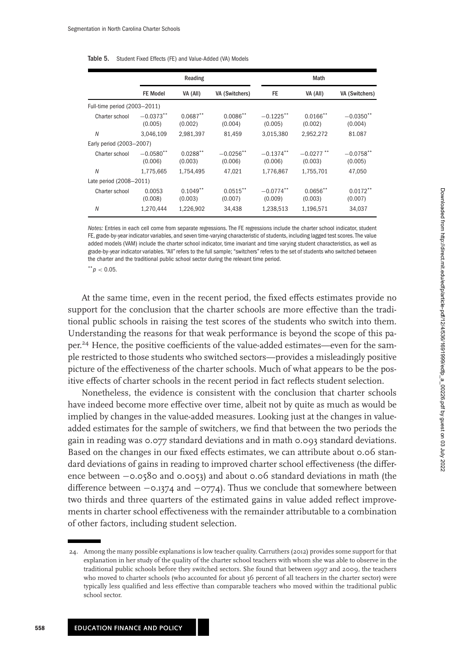<span id="page-22-0"></span>

| Table 5. | Student Fixed Effects (FE) and Value-Added (VA) Models |
|----------|--------------------------------------------------------|
|----------|--------------------------------------------------------|

|                              |                         | Reading                |                         |                         | Math                    |                         |
|------------------------------|-------------------------|------------------------|-------------------------|-------------------------|-------------------------|-------------------------|
|                              | <b>FE Model</b>         | VA (All)               | VA (Switchers)          | FE                      | VA (All)                | VA (Switchers)          |
| Full-time period (2003-2011) |                         |                        |                         |                         |                         |                         |
| Charter school               | $-0.0373**$<br>(0.005)  | $0.0687**$<br>(0.002)  | $0.0086***$<br>(0.004)  | $-0.1225$ **<br>(0.005) | $0.0166$ **<br>(0.002)  | $-0.0350$ **<br>(0.004) |
| N                            | 3,046,109               | 2,981,397              | 81,459                  | 3,015,380               | 2,952,272               | 81.087                  |
| Early period (2003-2007)     |                         |                        |                         |                         |                         |                         |
| Charter school               | $-0.0580$ **<br>(0.006) | $0.0288**$<br>(0.003)  | $-0.0256$ **<br>(0.006) | $-0.1374$ **<br>(0.006) | $-0.0277$ **<br>(0.003) | $-0.0758$ **<br>(0.005) |
| N                            | 1,775,665               | 1,754,495              | 47,021                  | 1,776,867               | 1,755,701               | 47,050                  |
| Late period (2008-2011)      |                         |                        |                         |                         |                         |                         |
| Charter school               | 0.0053<br>(0.008)       | $0.1049$ **<br>(0.003) | $0.0515***$<br>(0.007)  | $-0.0774$ **<br>(0.009) | $0.0656$ **<br>(0.003)  | $0.0172***$<br>(0.007)  |
| N                            | 1,270,444               | 1,226,902              | 34,438                  | 1,238,513               | 1,196,571               | 34,037                  |

Notes: Entries in each cell come from separate regressions. The FE regressions include the charter school indicator, student FE, grade-by-year indicator variables, and seven time-varying characteristic of students, including lagged test scores. The value added models (VAM) include the charter school indicator, time invariant and time varying student characteristics, as well as grade-by-year indicator variables. "All" refers to the full sample; "switchers" refers to the set of students who switched between the charter and the traditional public school sector during the relevant time period.

 $*^{*}p < 0.05$ .

At the same time, even in the recent period, the fixed effects estimates provide no support for the conclusion that the charter schools are more effective than the traditional public schools in raising the test scores of the students who switch into them. Understanding the reasons for that weak performance is beyond the scope of this paper.<sup>24</sup> Hence, the positive coefficients of the value-added estimates—even for the sample restricted to those students who switched sectors—provides a misleadingly positive picture of the effectiveness of the charter schools. Much of what appears to be the positive effects of charter schools in the recent period in fact reflects student selection.

Nonetheless, the evidence is consistent with the conclusion that charter schools have indeed become more effective over time, albeit not by quite as much as would be implied by changes in the value-added measures. Looking just at the changes in valueadded estimates for the sample of switchers, we find that between the two periods the gain in reading was 0.077 standard deviations and in math 0.093 standard deviations. Based on the changes in our fixed effects estimates, we can attribute about 0.06 standard deviations of gains in reading to improved charter school effectiveness (the difference between −0.0580 and 0.0053) and about 0.06 standard deviations in math (the difference between −0.1374 and −0774). Thus we conclude that somewhere between two thirds and three quarters of the estimated gains in value added reflect improvements in charter school effectiveness with the remainder attributable to a combination of other factors, including student selection.

<sup>24.</sup> Among the many possible explanations is low teacher quality. Carruthers [\(2012\)](#page-25-0) provides some support for that explanation in her study of the quality of the charter school teachers with whom she was able to observe in the traditional public schools before they switched sectors. She found that between 1997 and 2009, the teachers who moved to charter schools (who accounted for about 36 percent of all teachers in the charter sector) were typically less qualified and less effective than comparable teachers who moved within the traditional public school sector.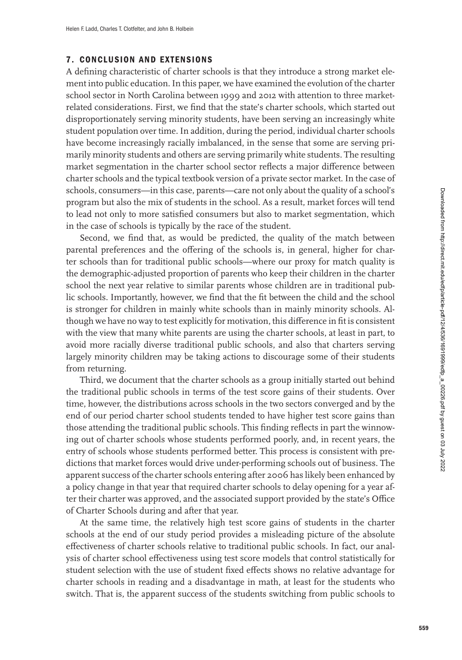# <span id="page-23-0"></span>**7. CONCLUSION AND EXTENSIONS**

A defining characteristic of charter schools is that they introduce a strong market element into public education. In this paper, we have examined the evolution of the charter school sector in North Carolina between 1999 and 2012 with attention to three marketrelated considerations. First, we find that the state's charter schools, which started out disproportionately serving minority students, have been serving an increasingly white student population over time. In addition, during the period, individual charter schools have become increasingly racially imbalanced, in the sense that some are serving primarily minority students and others are serving primarily white students. The resulting market segmentation in the charter school sector reflects a major difference between charter schools and the typical textbook version of a private sector market. In the case of schools, consumers—in this case, parents—care not only about the quality of a school's program but also the mix of students in the school. As a result, market forces will tend to lead not only to more satisfied consumers but also to market segmentation, which in the case of schools is typically by the race of the student.

Second, we find that, as would be predicted, the quality of the match between parental preferences and the offering of the schools is, in general, higher for charter schools than for traditional public schools—where our proxy for match quality is the demographic-adjusted proportion of parents who keep their children in the charter school the next year relative to similar parents whose children are in traditional public schools. Importantly, however, we find that the fit between the child and the school is stronger for children in mainly white schools than in mainly minority schools. Although we have no way to test explicitly for motivation, this difference in fit is consistent with the view that many white parents are using the charter schools, at least in part, to avoid more racially diverse traditional public schools, and also that charters serving largely minority children may be taking actions to discourage some of their students from returning.

Third, we document that the charter schools as a group initially started out behind the traditional public schools in terms of the test score gains of their students. Over time, however, the distributions across schools in the two sectors converged and by the end of our period charter school students tended to have higher test score gains than those attending the traditional public schools. This finding reflects in part the winnowing out of charter schools whose students performed poorly, and, in recent years, the entry of schools whose students performed better. This process is consistent with predictions that market forces would drive under-performing schools out of business. The apparent success of the charter schools entering after 2006 has likely been enhanced by a policy change in that year that required charter schools to delay opening for a year after their charter was approved, and the associated support provided by the state's Office of Charter Schools during and after that year.

At the same time, the relatively high test score gains of students in the charter schools at the end of our study period provides a misleading picture of the absolute effectiveness of charter schools relative to traditional public schools. In fact, our analysis of charter school effectiveness using test score models that control statistically for student selection with the use of student fixed effects shows no relative advantage for charter schools in reading and a disadvantage in math, at least for the students who switch. That is, the apparent success of the students switching from public schools to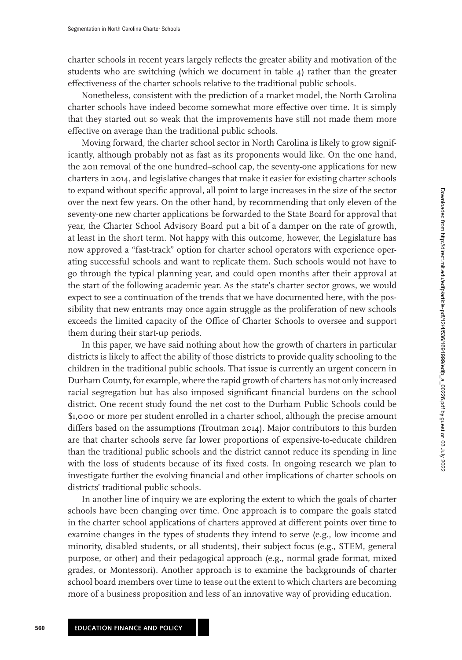charter schools in recent years largely reflects the greater ability and motivation of the students who are switching (which we document in table  $\phi$ ) rather than the greater effectiveness of the charter schools relative to the traditional public schools.

Nonetheless, consistent with the prediction of a market model, the North Carolina charter schools have indeed become somewhat more effective over time. It is simply that they started out so weak that the improvements have still not made them more effective on average than the traditional public schools.

Moving forward, the charter school sector in North Carolina is likely to grow significantly, although probably not as fast as its proponents would like. On the one hand, the 2011 removal of the one hundred–school cap, the seventy-one applications for new charters in 2014, and legislative changes that make it easier for existing charter schools to expand without specific approval, all point to large increases in the size of the sector over the next few years. On the other hand, by recommending that only eleven of the seventy-one new charter applications be forwarded to the State Board for approval that year, the Charter School Advisory Board put a bit of a damper on the rate of growth, at least in the short term. Not happy with this outcome, however, the Legislature has now approved a "fast-track" option for charter school operators with experience operating successful schools and want to replicate them. Such schools would not have to go through the typical planning year, and could open months after their approval at the start of the following academic year. As the state's charter sector grows, we would expect to see a continuation of the trends that we have documented here, with the possibility that new entrants may once again struggle as the proliferation of new schools exceeds the limited capacity of the Office of Charter Schools to oversee and support them during their start-up periods.

In this paper, we have said nothing about how the growth of charters in particular districts is likely to affect the ability of those districts to provide quality schooling to the children in the traditional public schools. That issue is currently an urgent concern in Durham County, for example, where the rapid growth of charters has not only increased racial segregation but has also imposed significant financial burdens on the school district. One recent study found the net cost to the Durham Public Schools could be \$1,000 or more per student enrolled in a charter school, although the precise amount differs based on the assumptions (Troutman [2014\)](#page-26-0). Major contributors to this burden are that charter schools serve far lower proportions of expensive-to-educate children than the traditional public schools and the district cannot reduce its spending in line with the loss of students because of its fixed costs. In ongoing research we plan to investigate further the evolving financial and other implications of charter schools on districts' traditional public schools.

In another line of inquiry we are exploring the extent to which the goals of charter schools have been changing over time. One approach is to compare the goals stated in the charter school applications of charters approved at different points over time to examine changes in the types of students they intend to serve (e.g., low income and minority, disabled students, or all students), their subject focus (e.g., STEM, general purpose, or other) and their pedagogical approach (e.g., normal grade format, mixed grades, or Montessori). Another approach is to examine the backgrounds of charter school board members over time to tease out the extent to which charters are becoming more of a business proposition and less of an innovative way of providing education.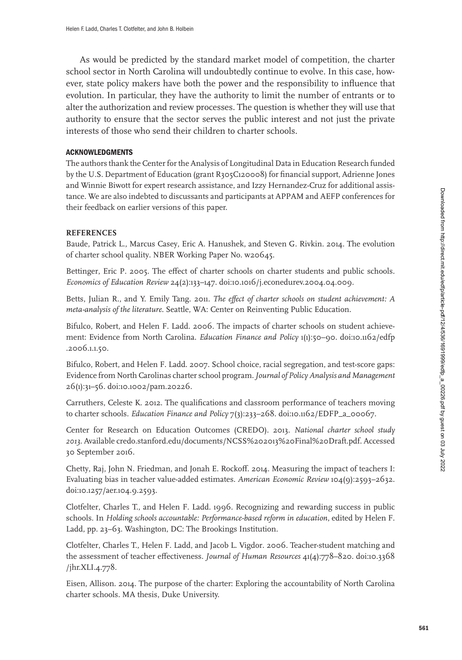<span id="page-25-0"></span>As would be predicted by the standard market model of competition, the charter school sector in North Carolina will undoubtedly continue to evolve. In this case, however, state policy makers have both the power and the responsibility to influence that evolution. In particular, they have the authority to limit the number of entrants or to alter the authorization and review processes. The question is whether they will use that authority to ensure that the sector serves the public interest and not just the private interests of those who send their children to charter schools.

#### **ACKNOWLEDGMENTS**

The authors thank the Center for the Analysis of Longitudinal Data in Education Research funded by the U.S. Department of Education (grant R305C120008) for financial support, Adrienne Jones and Winnie Biwott for expert research assistance, and Izzy Hernandez-Cruz for additional assistance. We are also indebted to discussants and participants at APPAM and AEFP conferences for their feedback on earlier versions of this paper.

#### **REFERENCES**

Baude, Patrick L., Marcus Casey, Eric A. Hanushek, and Steven G. Rivkin. 2014. The evolution of charter school quality. NBER Working Paper No. w20645.

Bettinger, Eric P. 2005. The effect of charter schools on charter students and public schools. *Economics of Education Review* 24(2):133–147. doi[:10.1016/j.econedurev.2004.04.009.](http://dx.doi.org/10.1016/j.econedurev.2004.04.009)

Betts, Julian R., and Y. Emily Tang. 2011. *The effect of charter schools on student achievement: A meta-analysis of the literature*. Seattle, WA: Center on Reinventing Public Education.

Bifulco, Robert, and Helen F. Ladd. 2006. The impacts of charter schools on student achieve[ment: Evidence from North Carolina.](http://dx.doi.org/10.1162/edfp.2006.1.1.50) *Education Finance and Policy* 1(1):50–90. doi:10.1162/edfp .2006.1.1.50.

Bifulco, Robert, and Helen F. Ladd. 2007. School choice, racial segregation, and test-score gaps: Evidence from North Carolinas charter school program.*Journal of Policy Analysis and Management* 26(1):31–56. doi[:10.1002/pam.20226.](http://dx.doi.org/10.1002/pam.20226)

Carruthers, Celeste K. 2012. The qualifications and classroom performance of teachers moving to charter schools. *Education Finance and Policy* 7(3):233–268. doi[:10.1162/EDFP\\_a\\_00067.](http://dx.doi.org/10.1162/EDFP_a_00067)

Center for Research on Education Outcomes (CREDO). 2013. *National charter school study 2013*. Available credo.stanford.edu/documents/NCSS%202013%20Final%20Draft.pdf. Accessed 30 September 2016.

Chetty, Raj, John N. Friedman, and Jonah E. Rockoff. 2014. Measuring the impact of teachers I: Evaluating bias in teacher value-added estimates. *American Economic Review* 104(9):2593–2632. doi[:10.1257/aer.104.9.2593.](http://dx.doi.org/10.1257/aer.104.9.2593)

Clotfelter, Charles T., and Helen F. Ladd. 1996. Recognizing and rewarding success in public schools. In *Holding schools accountable: Performance-based reform in education*, edited by Helen F. Ladd, pp. 23–63. Washington, DC: The Brookings Institution.

Clotfelter, Charles T., Helen F. Ladd, and Jacob L. Vigdor. 2006. Teacher-student matching and [the assessment of teacher effectiveness.](http://dx.doi.org/10.3368/jhr.XLI.4.778) *Journal of Human Resources* 41(4):778–820. doi:10.3368 /jhr.XLI.4.778.

Eisen, Allison. 2014. The purpose of the charter: Exploring the accountability of North Carolina charter schools. MA thesis, Duke University.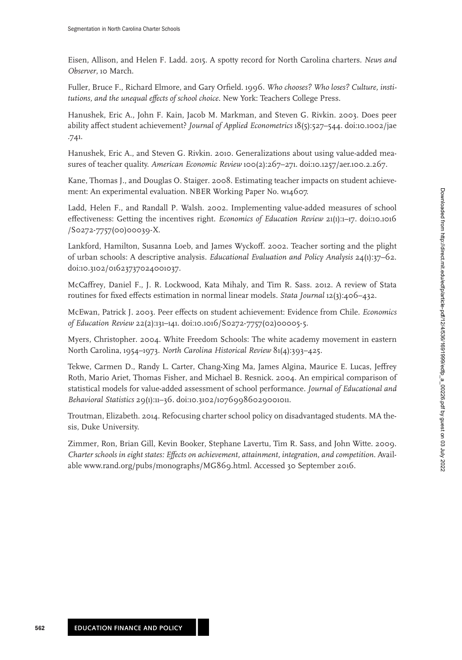<span id="page-26-0"></span>Eisen, Allison, and Helen F. Ladd. 2015. A spotty record for North Carolina charters. *News and Observer*, 10 March.

Fuller, Bruce F., Richard Elmore, and Gary Orfield. 1996. *Who chooses? Who loses? Culture, institutions, and the unequal effects of school choice*. New York: Teachers College Press.

Hanushek, Eric A., John F. Kain, Jacob M. Markman, and Steven G. Rivkin. 2003. Does peer [ability affect student achievement?](http://dx.doi.org/10.1002/jae.741) *Journal of Applied Econometrics* 18(5):527–544. doi:10.1002/jae .741.

Hanushek, Eric A., and Steven G. Rivkin. 2010. Generalizations about using value-added measures of teacher quality. *American Economic Review* 100(2):267–271. doi[:10.1257/aer.100.2.267.](http://dx.doi.org/10.1257/aer.100.2.267)

Kane, Thomas J., and Douglas O. Staiger. 2008. Estimating teacher impacts on student achievement: An experimental evaluation. NBER Working Paper No. w14607.

Ladd, Helen F., and Randall P. Walsh. 2002. Implementing value-added measures of school [effectiveness: Getting the incentives right.](http://dx.doi.org/10.1016/S0272-7757(00)00039-X) *Economics of Education Review* 21(1):1–17. doi:10.1016 /S0272-7757(00)00039-X.

Lankford, Hamilton, Susanna Loeb, and James Wyckoff. 2002. Teacher sorting and the plight of urban schools: A descriptive analysis. *Educational Evaluation and Policy Analysis* 24(1):37–62. doi[:10.3102/01623737024001037.](http://dx.doi.org/10.3102/01623737024001037)

McCaffrey, Daniel F., J. R. Lockwood, Kata Mihaly, and Tim R. Sass. 2012. A review of Stata routines for fixed effects estimation in normal linear models. *Stata Journal* 12(3):406–432.

McEwan, Patrick J. 2003. Peer effects on student achievement: Evidence from Chile. *Economics of Education Review* 22(2):131–141. doi[:10.1016/S0272-7757\(02\)00005-5.](http://dx.doi.org/10.1016/S0272-7757(02)00005-5)

Myers, Christopher. 2004. White Freedom Schools: The white academy movement in eastern North Carolina, 1954–1973. *North Carolina Historical Review* 81(4):393–425.

Tekwe, Carmen D., Randy L. Carter, Chang-Xing Ma, James Algina, Maurice E. Lucas, Jeffrey Roth, Mario Ariet, Thomas Fisher, and Michael B. Resnick. 2004. An empirical comparison of statistical models for value-added assessment of school performance. *Journal of Educational and Behavioral Statistics* 29(1):11–36. doi[:10.3102/10769986029001011.](http://dx.doi.org/10.3102/10769986029001011)

Troutman, Elizabeth. 2014. Refocusing charter school policy on disadvantaged students. MA thesis, Duke University.

Zimmer, Ron, Brian Gill, Kevin Booker, Stephane Lavertu, Tim R. Sass, and John Witte. 2009. *Charter schools in eight states: Effects on achievement, attainment, integration, and competition*. Available www.rand.org/pubs/monographs/MG869.html. Accessed 30 September 2016.